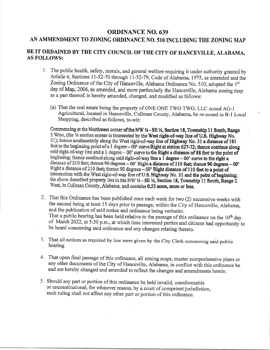## ORDINANCE NO.639

## AN AMMENDMENT TO ZONING ORDINANCE NO. 510 INCLUDING THE ZONING MAP

## BE IT ORDAINED BY THE CITY COUNCIL OF THE CITY OF HANCEVILLE, ALABAMA, AS FOLLOWS:

- 1. The public health, safety, morals, and general welfare requiring it under authority granted by Article 4, Sections 11-52-70 through 11-52-79, Code of Alabama, 1975, as amended and the Zoning Ordinance of the City of Hanceville, Alabama Ordinance No. 510, adopted the 1st day of May, 2006, as amended, and more particularly the Hanceville, Alabama zoning map as a part thereof, is hereby amended, changed, and modified as follows:
	- (a) That the real estate being the property of ONE ONE TWO TWO, LLC zoned AG-1 Agricultural, located in Hanceville, Cullman County, Alabama, be re-zoned to B-l Local Shopping, described as follows, to-wit:

Commencing at the Northwest corner of the NW  $\%$  - SE  $\%$ , Section 18, Township 11 South, Range 2 West, (the 14 section corner is intersected by the West right-of-way line of U.S. Highway No. 31); thence southeasterly along the West right-of-way line of Highway No. 31 a distance of 181 feet to the beginning point of a 1 degree  $-00$ ' curve Right at station 627-72; thence continue along said right-of-way line and a 1 degree - 00' curve to the Right a distance of 88 feet to the point of beginning; thence continue along said right-of-way line a  $\overline{1}$  degree - 00' curve to the right a distance of 210 feet; thence 90 degrees  $-00'$  Right a distance of 110 feet; thence 90 degrees  $-00'$ Right a distance of 210 feet; thence 90 degrees  $-00'$  Right distance of 110 feet to a point of intersection with the West right-of-way line of U.S. Highway No. 31 and the point of beginning; the above described property lies in the NW  $\frac{1}{4}$  - SE  $\frac{1}{4}$ , Section 18, Township 11 South, Range 2 West, in Cullman County, Alabama, and contains 0.53 acres, more or less,

- That this Ordinance has been published once each week for two (2) successive weeks with 2 the second being at least 15 days prior to passage, within the City of Hanceville, Alabama, and the publication of said notice and ordinance being verbatim.<br>That a public hearing has been held relative to the passage of this ordinance on the 10<sup>th</sup> day of March 2022, at 5:30 p.m., at which time interested parties and citizens had opportunity to be heard concerning said ordinance and any changes relating thereto.
- That all notices as required by law were given by the City Clerk concerning said public J. hearing,
- 4. That upon final passage of this ordinance, all zoning maps, master comprehensive plans or any other documents of the City of Hanceville, Alabama, in conflict with this ordinance be and are hereby changed and amended to reflect the changes and amendments herein.
- 5. Should any part or portion of this ordinance be held invalid, unenforceable or unconstitutional, for whatever reason, by a court of competent jurisdiction, such ruling shall not affect any other part or portion of this ordinance.